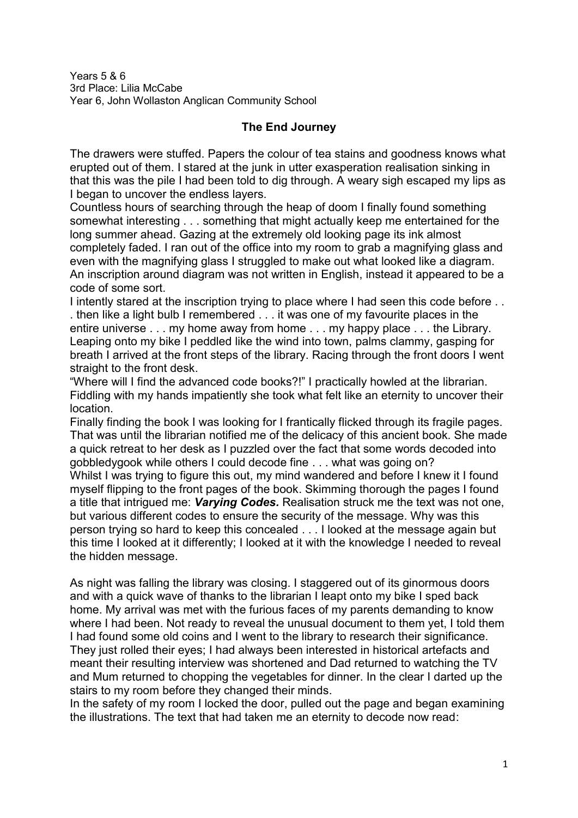Years 5 & 6 3rd Place: Lilia McCabe Year 6, John Wollaston Anglican Community School

## **The End Journey**

The drawers were stuffed. Papers the colour of tea stains and goodness knows what erupted out of them. I stared at the junk in utter exasperation realisation sinking in that this was the pile I had been told to dig through. A weary sigh escaped my lips as I began to uncover the endless layers.

Countless hours of searching through the heap of doom I finally found something somewhat interesting . . . something that might actually keep me entertained for the long summer ahead. Gazing at the extremely old looking page its ink almost completely faded. I ran out of the office into my room to grab a magnifying glass and even with the magnifying glass I struggled to make out what looked like a diagram. An inscription around diagram was not written in English, instead it appeared to be a code of some sort.

I intently stared at the inscription trying to place where I had seen this code before ... . then like a light bulb I remembered . . . it was one of my favourite places in the entire universe . . . my home away from home . . . my happy place . . . the Library. Leaping onto my bike I peddled like the wind into town, palms clammy, gasping for breath I arrived at the front steps of the library. Racing through the front doors I went straight to the front desk.

"Where will I find the advanced code books?!" I practically howled at the librarian. Fiddling with my hands impatiently she took what felt like an eternity to uncover their location.

Finally finding the book I was looking for I frantically flicked through its fragile pages. That was until the librarian notified me of the delicacy of this ancient book. She made a quick retreat to her desk as I puzzled over the fact that some words decoded into gobbledygook while others I could decode fine . . . what was going on? Whilst I was trying to figure this out, my mind wandered and before I knew it I found myself flipping to the front pages of the book. Skimming thorough the pages I found a title that intrigued me: *Varying Codes.* Realisation struck me the text was not one, but various different codes to ensure the security of the message. Why was this person trying so hard to keep this concealed . . . I looked at the message again but this time I looked at it differently; I looked at it with the knowledge I needed to reveal the hidden message.

As night was falling the library was closing. I staggered out of its ginormous doors and with a quick wave of thanks to the librarian I leapt onto my bike I sped back home. My arrival was met with the furious faces of my parents demanding to know where I had been. Not ready to reveal the unusual document to them yet, I told them I had found some old coins and I went to the library to research their significance. They just rolled their eyes; I had always been interested in historical artefacts and meant their resulting interview was shortened and Dad returned to watching the TV and Mum returned to chopping the vegetables for dinner. In the clear I darted up the stairs to my room before they changed their minds.

In the safety of my room I locked the door, pulled out the page and began examining the illustrations. The text that had taken me an eternity to decode now read: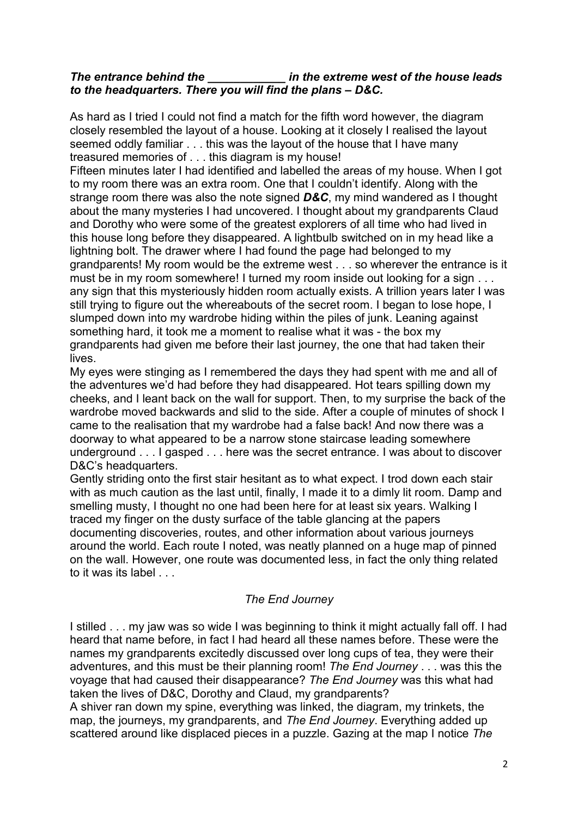### *The entrance behind the \_\_\_\_\_\_\_\_\_\_\_\_ in the extreme west of the house leads to the headquarters. There you will find the plans - D&C.*

As hard as I tried I could not find a match for the fifth word however, the diagram closely resembled the layout of a house. Looking at it closely I realised the layout seemed oddly familiar . . . this was the layout of the house that I have many treasured memories of . . . this diagram is my house!

Fifteen minutes later I had identified and labelled the areas of my house. When I got to my room there was an extra room. One that I couldn't identify. Along with the strange room there was also the note signed *D&C*, my mind wandered as I thought about the many mysteries I had uncovered. I thought about my grandparents Claud and Dorothy who were some of the greatest explorers of all time who had lived in this house long before they disappeared. A lightbulb switched on in my head like a lightning bolt. The drawer where I had found the page had belonged to my grandparents! My room would be the extreme west . . . so wherever the entrance is it must be in my room somewhere! I turned my room inside out looking for a sign . . . any sign that this mysteriously hidden room actually exists. A trillion years later I was still trying to figure out the whereabouts of the secret room. I began to lose hope, I slumped down into my wardrobe hiding within the piles of junk. Leaning against something hard, it took me a moment to realise what it was - the box my grandparents had given me before their last journey, the one that had taken their lives.

My eyes were stinging as I remembered the days they had spent with me and all of the adventures we'd had before they had disappeared. Hot tears spilling down my cheeks, and I leant back on the wall for support. Then, to my surprise the back of the wardrobe moved backwards and slid to the side. After a couple of minutes of shock I came to the realisation that my wardrobe had a false back! And now there was a doorway to what appeared to be a narrow stone staircase leading somewhere underground . . . I gasped . . . here was the secret entrance. I was about to discover D&C's headquarters.

Gently striding onto the first stair hesitant as to what expect. I trod down each stair with as much caution as the last until, finally, I made it to a dimly lit room. Damp and smelling musty, I thought no one had been here for at least six years. Walking I traced my finger on the dusty surface of the table glancing at the papers documenting discoveries, routes, and other information about various journeys around the world. Each route I noted, was neatly planned on a huge map of pinned on the wall. However, one route was documented less, in fact the only thing related to it was its label

### *The End Journey*

I stilled . . . my jaw was so wide I was beginning to think it might actually fall off. I had heard that name before, in fact I had heard all these names before. These were the names my grandparents excitedly discussed over long cups of tea, they were their adventures, and this must be their planning room! *The End Journey* . . . was this the voyage that had caused their disappearance? *The End Journey* was this what had taken the lives of D&C, Dorothy and Claud, my grandparents?

A shiver ran down my spine, everything was linked, the diagram, my trinkets, the map, the journeys, my grandparents, and *The End Journey*. Everything added up scattered around like displaced pieces in a puzzle. Gazing at the map I notice *The*